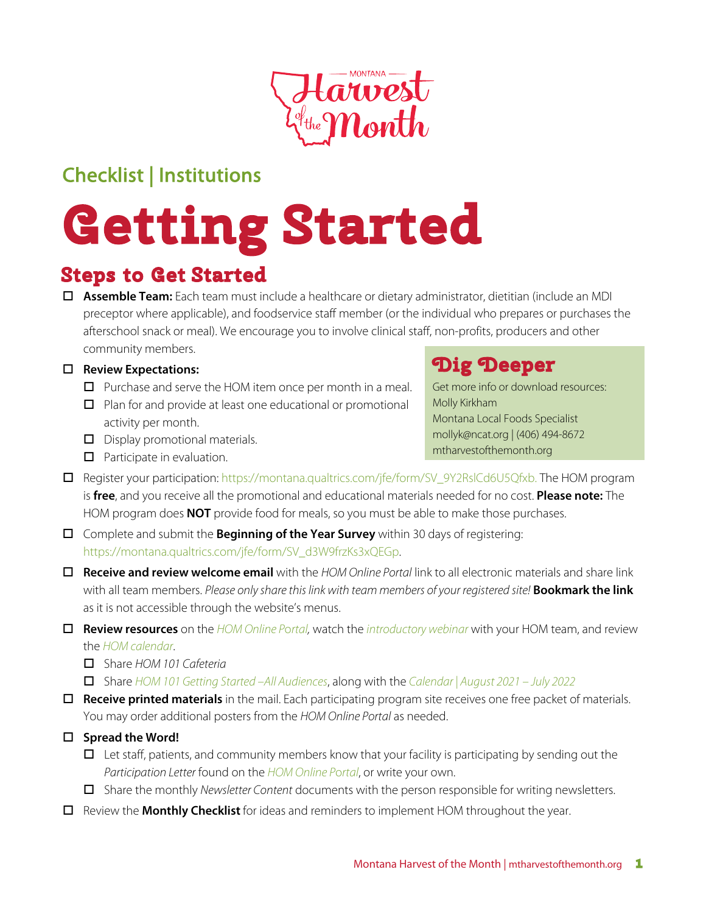

# Checklist | Institutions

# **Getting Started Steps to Get Started**

o **Assemble Team:** Each team must include a healthcare or dietary administrator, dietitian (include an MDI preceptor where applicable), and foodservice staff member (or the individual who prepares or purchases the afterschool snack or meal). We encourage you to involve clinical staff, non-profits, producers and other community members.

#### □ Review Expectations:

- $\Box$  Purchase and serve the HOM item once per month in a meal.
- $\Box$  Plan for and provide at least one educational or promotional activity per month.
- $\Box$  Display promotional materials.
- $\Box$  Participate in evaluation.

## **Dig Deeper**

Get more info or download resources: Molly Kirkham Montana Local Foods Specialist mollyk@ncat.org | (406) 494-8672 mtharvestofthemonth.org

- □ Register your participation: https://montana.qualtrics.com/jfe/form/SV\_9Y2RslCd6U5Qfxb. The HOM program is **free**, and you receive all the promotional and educational materials needed for no cost. **Please note:** The HOM program does **NOT** provide food for meals, so you must be able to make those purchases.
- $\Box$  Complete and submit the **Beginning of the Year Survey** within 30 days of registering: https://montana.qualtrics.com/jfe/form/SV\_d3W9frzKs3xQEGp.
- o **Receive and review welcome email** with the *HOM Online Portal* link to all electronic materials and share link with all team members. *Please only share this link with team members of your registered site!* **Bookmark the link** as it is not accessible through the website's menus.
- o **Review resources** on the *HOM Online P*o*rtal,* watch the *introductory webinar* with your HOM team, and review the *HOM calendar*.
	- o Share *HOM 101 Cafeteria*
	- o Share *HOM 101 Getting Started –All Audiences*, along with the *Calendar | August 2021 July 2022*
- □ **Receive printed materials** in the mail. Each participating program site receives one free packet of materials. You may order additional posters from the *HOM Online Portal* as needed.
- □ Spread the Word!
	- $\Box$  Let staff, patients, and community members know that your facility is participating by sending out the *Participation Letter* found on the *HOM Online P*o*rtal*, or write your own.
	- o Share the monthly *Newsletter Content* documents with the person responsible for writing newsletters.
- **D** Review the **Monthly Checklist** for ideas and reminders to implement HOM throughout the year.